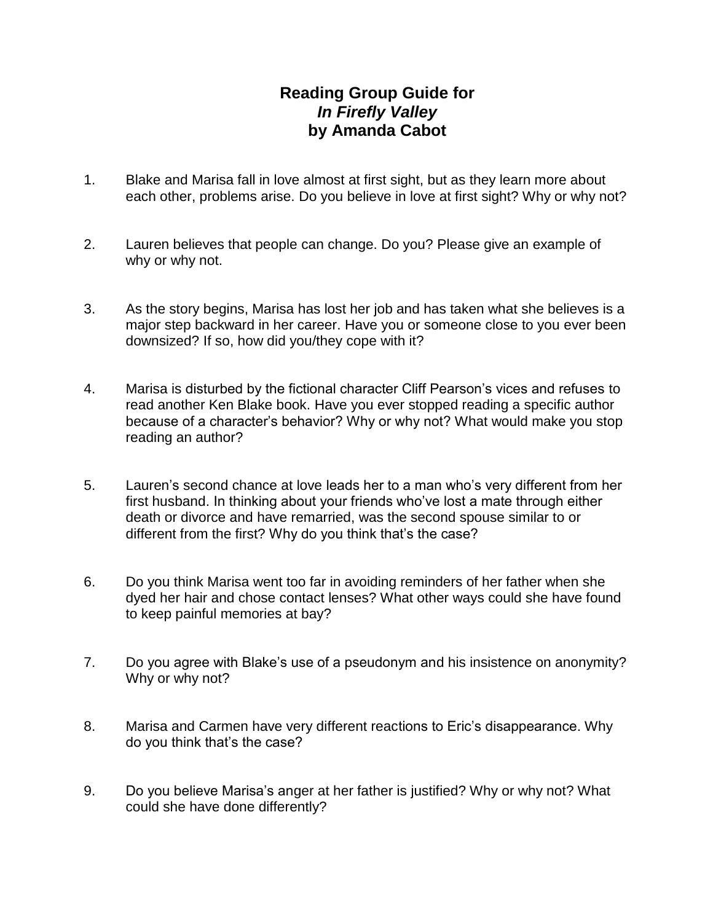## **Reading Group Guide for** *In Firefly Valley* **by Amanda Cabot**

- 1. Blake and Marisa fall in love almost at first sight, but as they learn more about each other, problems arise. Do you believe in love at first sight? Why or why not?
- 2. Lauren believes that people can change. Do you? Please give an example of why or why not.
- 3. As the story begins, Marisa has lost her job and has taken what she believes is a major step backward in her career. Have you or someone close to you ever been downsized? If so, how did you/they cope with it?
- 4. Marisa is disturbed by the fictional character Cliff Pearson's vices and refuses to read another Ken Blake book. Have you ever stopped reading a specific author because of a character's behavior? Why or why not? What would make you stop reading an author?
- 5. Lauren's second chance at love leads her to a man who's very different from her first husband. In thinking about your friends who've lost a mate through either death or divorce and have remarried, was the second spouse similar to or different from the first? Why do you think that's the case?
- 6. Do you think Marisa went too far in avoiding reminders of her father when she dyed her hair and chose contact lenses? What other ways could she have found to keep painful memories at bay?
- 7. Do you agree with Blake's use of a pseudonym and his insistence on anonymity? Why or why not?
- 8. Marisa and Carmen have very different reactions to Eric's disappearance. Why do you think that's the case?
- 9. Do you believe Marisa's anger at her father is justified? Why or why not? What could she have done differently?